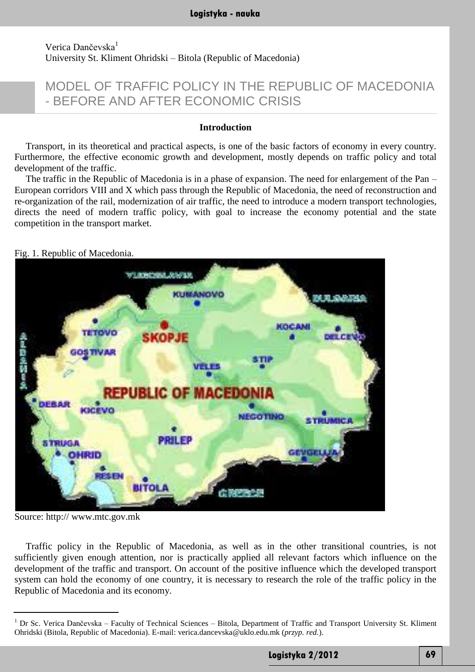# Verica Dančevska<sup>1</sup> University St. Kliment Ohridski – Bitola (Republic of Macedonia)

# MODEL OF TRAFFIC POLICY IN THE REPUBLIC OF MACEDONIA - BEFORE AND AFTER ECONOMIC CRISIS

#### **Introduction**

Transport, in its theoretical and practical aspects, is one of the basic factors of economy in every country. Furthermore, the effective economic growth and development, mostly depends on traffic policy and total development of the traffic.

The traffic in the Republic of Macedonia is in a phase of expansion. The need for enlargement of the Pan – European corridors VIII and X which pass through the Republic of Macedonia, the need of reconstruction and re-organization of the rail, modernization of air traffic, the need to introduce a modern transport technologies, directs the need of modern traffic policy, with goal to increase the economy potential and the state competition in the transport market.

Fig. 1. Republic of Macedonia.



Source: http:// [www.mtc.gov.mk](http://www.mtc.gov.mk/)

Traffic policy in the Republic of Macedonia, as well as in the other transitional countries, is not sufficiently given enough attention, nor is practically applied all relevant factors which influence on the development of the traffic and transport. On account of the positive influence which the developed transport system can hold the economy of one country, it is necessary to research the role of the traffic policy in the Republic of Macedonia and its economy.

<sup>&</sup>lt;sup>1</sup> Dr Sc. Verica Dančevska – Faculty of Technical Sciences – Bitola, Department of Traffic and Transport University St. Kliment Ohridski (Bitola, Republic of Macedonia). E-mail: [verica.dancevska@uklo.edu.mk](mailto:verica.dancevska@uklo.edu.mk) (*przyp. red.*).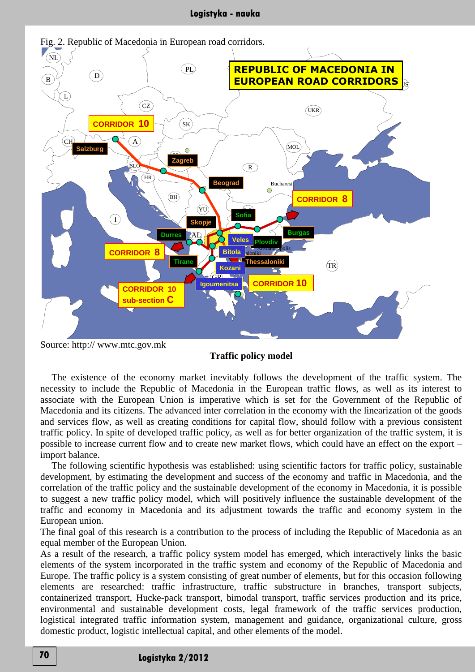

Source: http:// [www.mtc.gov.mk](http://www.mtc.gov.mk/)

Comp.prep. Z.MANEV evropa 09.1997

## **Traffic policy model**

The existence of the economy market inevitably follows the development of the traffic system. The necessity to include the Republic of Macedonia in the European traffic flows, as well as its interest to associate with the European Union is imperative which is set for the Government of the Republic of Macedonia and its citizens. The advanced inter correlation in the economy with the linearization of the goods and services flow, as well as creating conditions for capital flow, should follow with a previous consistent traffic policy. In spite of developed traffic policy, as well as for better organization of the traffic system, it is possible to increase current flow and to create new market flows, which could have an effect on the export – import balance.

The following scientific hypothesis was established: using scientific factors for traffic policy, sustainable development, by estimating the development and success of the economy and traffic in Macedonia, and the correlation of the traffic policy and the sustainable development of the economy in Macedonia, it is possible to suggest a new traffic policy model, which will positively influence the sustainable development of the traffic and economy in Macedonia and its adjustment towards the traffic and economy system in the European union.

The final goal of this research is a contribution to the process of including the Republic of Macedonia as an equal member of the European Union.

As a result of the research, a traffic policy system model has emerged, which interactively links the basic elements of the system incorporated in the traffic system and economy of the Republic of Macedonia and Europe. The traffic policy is a system consisting of great number of elements, but for this occasion following elements are researched: traffic infrastructure, traffic substructure in branches, transport subjects, containerized transport, Hucke-pack transport, bimodal transport, traffic services production and its price, environmental and sustainable development costs, legal framework of the traffic services production, logistical integrated traffic information system, management and guidance, organizational culture, gross domestic product, logistic intellectual capital, and other elements of the model.

# **Logistyka 2/2012 70**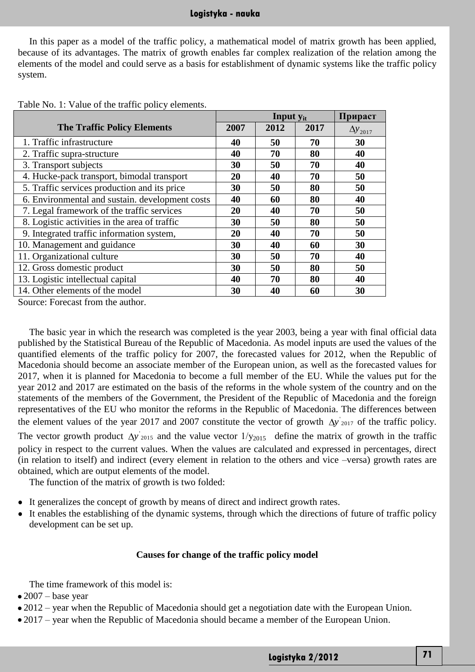## **Logistyka - nauka**

In this paper as a model of the traffic policy, a mathematical model of matrix growth has been applied, because of its advantages. The matrix of growth enables far complex realization of the relation among the elements of the model and could serve as a basis for establishment of dynamic systems like the traffic policy system.

|                                                 | <b>Input y<sub>it</sub></b> |      |      | Прираст           |
|-------------------------------------------------|-----------------------------|------|------|-------------------|
| <b>The Traffic Policy Elements</b>              | 2007                        | 2012 | 2017 | $\Delta y_{2017}$ |
| 1. Traffic infrastructure                       | 40                          | 50   | 70   | 30                |
| 2. Traffic supra-structure                      | 40                          | 70   | 80   | 40                |
| 3. Transport subjects                           | 30                          | 50   | 70   | 40                |
| 4. Hucke-pack transport, bimodal transport      | 20                          | 40   | 70   | 50                |
| 5. Traffic services production and its price    | 30                          | 50   | 80   | 50                |
| 6. Environmental and sustain. development costs | 40                          | 60   | 80   | 40                |
| 7. Legal framework of the traffic services      | 20                          | 40   | 70   | 50                |
| 8. Logistic activities in the area of traffic   | 30                          | 50   | 80   | 50                |
| 9. Integrated traffic information system,       | 20                          | 40   | 70   | 50                |
| 10. Management and guidance                     | 30                          | 40   | 60   | 30                |
| 11. Organizational culture                      | 30                          | 50   | 70   | 40                |
| 12. Gross domestic product                      | 30                          | 50   | 80   | 50                |
| 13. Logistic intellectual capital               | 40                          | 70   | 80   | 40                |
| 14. Other elements of the model                 | 30                          | 40   | 60   | 30                |

Source: Forecast from the author.

The basic year in which the research was completed is the year 2003, being a year with final official data published by the Statistical Bureau of the Republic of Macedonia. As model inputs are used the values of the quantified elements of the traffic policy for 2007, the forecasted values for 2012, when the Republic of Macedonia should become an associate member of the European union, as well as the forecasted values for 2017, when it is planned for Macedonia to become a full member of the EU. While the values put for the year 2012 and 2017 are estimated on the basis of the reforms in the whole system of the country and on the statements of the members of the Government, the President of the Republic of Macedonia and the foreign representatives of the EU who monitor the reforms in the Republic of Macedonia. The differences between the element values of the year 2017 and 2007 constitute the vector of growth  $\Delta y$ <sup>'</sup><sub>2017</sub> of the traffic policy. The vector growth product  $\Delta y$ <sup>'</sup><sub>2015</sub> and the value vector  $1/y_{2015}$  define the matrix of growth in the traffic policy in respect to the current values. When the values are calculated and expressed in percentages, direct (in relation to itself) and indirect (every element in relation to the others and vice –versa) growth rates are obtained, which are output elements of the model.

The function of the matrix of growth is two folded:

- It generalizes the concept of growth by means of direct and indirect growth rates.
- It enables the establishing of the dynamic systems, through which the directions of future of traffic policy development can be set up.

#### **Causes for change of the traffic policy model**

The time framework of this model is:

- $\bullet$  2007 base year
- 2012 year when the Republic of Macedonia should get a negotiation date with the European Union.
- 2017 year when the Republic of Macedonia should became a member of the European Union.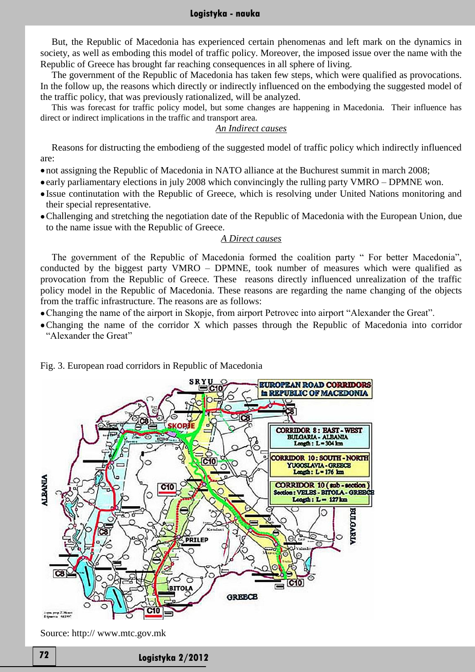#### **Logistyka - nauka**

But, the Republic of Macedonia has experienced certain phenomenas and left mark on the dynamics in society, as well as emboding this model of traffic policy. Moreover, the imposed issue over the name with the Republic of Greece has brought far reaching consequences in all sphere of living.

The government of the Republic of Macedonia has taken few steps, which were qualified as provocations. In the follow up, the reasons which directly or indirectly influenced on the embodying the suggested model of the traffic policy, that was previously rationalized, will be analyzed.

This was forecast for traffic policy model, but some changes are happening in Macedonia. Their influence has direct or indirect implications in the traffic and transport area.

#### *An Indirect causes*

Reasons for distructing the embodieng of the suggested model of traffic policy which indirectly influenced are:

- not assigning the Republic of Macedonia in NATO alliance at the Buchurest summit in march 2008;
- early parliamentary elections in july 2008 which convincingly the rulling party VMRO DPMNE won.
- Issue continutation with the Republic of Greece, which is resolving under United Nations monitoring and their special representative.
- Challenging and stretching the negotiation date of the Republic of Macedonia with the European Union, due to the name issue with the Republic of Greece.

#### *A Direct causes*

The government of the Republic of Macedonia formed the coalition party " For better Macedonia", conducted by the biggest party VMRO – DPMNE, took number of measures which were qualified as provocation from the Republic of Greece. These reasons directly influenced unrealization of the traffic policy model in the Republic of Macedonia. These reasons are regarding the name changing of the objects from the traffic infrastructure. The reasons are as follows:

- Changing the name of the airport in Skopje, from airport Petrovec into airport "Alexander the Great".
- Changing the name of the corridor X which passes through the Republic of Macedonia into corridor "Alexander the Great"



## Fig. 3. European road corridors in Republic of Macedonia

**Logistyka 2/2012 72**

Source: http:// [www.mtc.gov.mk](http://www.mtc.gov.mk/)